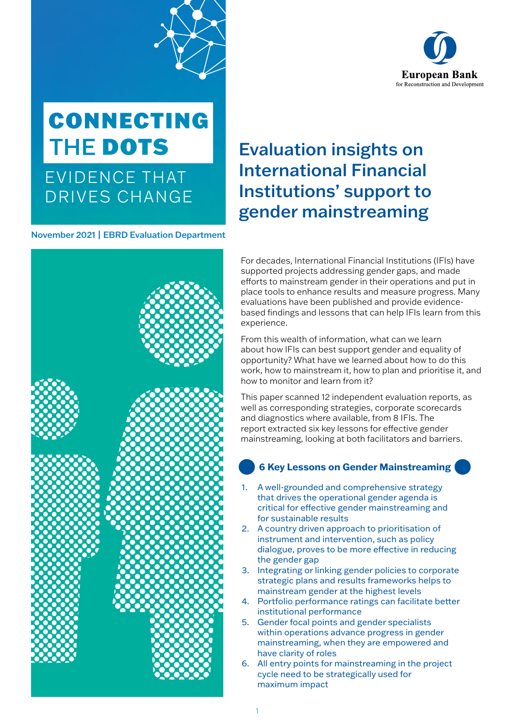

# **CONNECTING** THE DOTS

EVIDENCE THAT DRIVES CHANGE

November 2021 | EBRD Evaluation Department



# Evaluation insights on International Financial Institutions' support to gender mainstreaming

For decades, International Financial Institutions (IFIs) have supported projects addressing gender gaps, and made efforts to mainstream gender in their operations and put in place tools to enhance results and measure progress. Many evaluations have been published and provide evidencebased findings and lessons that can help IFIs learn from this experience.

From this wealth of information, what can we learn about how IFIs can best support gender and equality of opportunity? What have we learned about how to do this work, how to mainstream it, how to plan and prioritise it, and how to monitor and learn from it?

This paper scanned 12 independent evaluation reports, as well as corresponding strategies, corporate scorecards and diagnostics where available, from 8 IFIs. The report extracted six key lessons for effective gender mainstreaming, looking at both facilitators and barriers.

#### **6 Key Lessons on Gender Mainstreaming**

- 1. A well-grounded and comprehensive strategy that drives the operational gender agenda is critical for effective gender mainstreaming and for sustainable results
- 2. A country driven approach to prioritisation of instrument and intervention, such as policy dialogue, proves to be more effective in reducing the gender gap
- 3. Integrating or linking gender policies to corporate strategic plans and results frameworks helps to mainstream gender at the highest levels
- 4. Portfolio performance ratings can facilitate better institutional performance
- 5. Gender focal points and gender specialists within operations advance progress in gender mainstreaming, when they are empowered and have clarity of roles
- 6. All entry points for mainstreaming in the project cycle need to be strategically used for maximum impact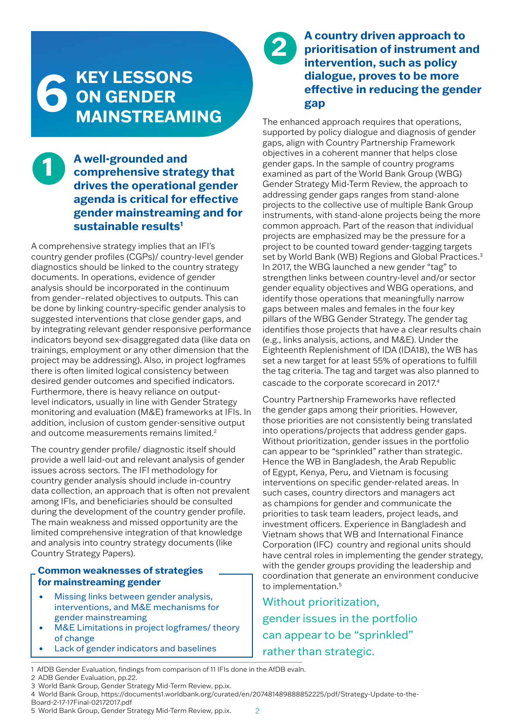# **KEY LESSONS ON GENDER 6 MAINSTREAMING**

#### **A well-grounded and comprehensive strategy that drives the operational gender agenda is critical for effective gender mainstreaming and for sustainable results1 1**

A comprehensive strategy implies that an IFI's country gender profiles (CGPs)/ country-level gender diagnostics should be linked to the country strategy documents. In operations, evidence of gender analysis should be incorporated in the continuum from gender–related objectives to outputs. This can be done by linking country-specific gender analysis to suggested interventions that close gender gaps, and by integrating relevant gender responsive performance indicators beyond sex-disaggregated data (like data on trainings, employment or any other dimension that the project may be addressing). Also, in project logframes there is often limited logical consistency between desired gender outcomes and specified indicators. Furthermore, there is heavy reliance on outputlevel indicators, usually in line with Gender Strategy monitoring and evaluation (M&E) frameworks at IFIs. In addition, inclusion of custom gender-sensitive output and outcome measurements remains limited.<sup>2</sup>

The country gender profile/ diagnostic itself should provide a well laid-out and relevant analysis of gender issues across sectors. The IFI methodology for country gender analysis should include in-country data collection, an approach that is often not prevalent among IFIs, and beneficiaries should be consulted during the development of the country gender profile. The main weakness and missed opportunity are the limited comprehensive integration of that knowledge and analysis into country strategy documents (like Country Strategy Papers).

#### **Common weaknesses of strategies for mainstreaming gender**

- Missing links between gender analysis, interventions, and M&E mechanisms for gender mainstreaming
- M&E Limitations in project logframes/ theory of change
- Lack of gender indicators and baselines

# **2 A country driven approach to prioritisation of instrument and intervention, such as policy dialogue, proves to be more effective in reducing the gender gap**

The enhanced approach requires that operations, supported by policy dialogue and diagnosis of gender gaps, align with Country Partnership Framework objectives in a coherent manner that helps close gender gaps. In the sample of country programs examined as part of the World Bank Group (WBG) Gender Strategy Mid-Term Review, the approach to addressing gender gaps ranges from stand-alone projects to the collective use of multiple Bank Group instruments, with stand-alone projects being the more common approach. Part of the reason that individual projects are emphasized may be the pressure for a project to be counted toward gender-tagging targets set by World Bank (WB) Regions and Global Practices.<sup>3</sup> In 2017, the WBG launched a new gender "tag" to strengthen links between country-level and/or sector gender equality objectives and WBG operations, and identify those operations that meaningfully narrow gaps between males and females in the four key pillars of the WBG Gender Strategy. The gender tag identifies those projects that have a clear results chain (e.g., links analysis, actions, and M&E). Under the Eighteenth Replenishment of IDA (IDA18), the WB has set a new target for at least 55% of operations to fulfill the tag criteria. The tag and target was also planned to cascade to the corporate scorecard in 2017.4

Country Partnership Frameworks have reflected the gender gaps among their priorities. However, those priorities are not consistently being translated into operations/projects that address gender gaps. Without prioritization, gender issues in the portfolio can appear to be "sprinkled" rather than strategic. Hence the WB in Bangladesh, the Arab Republic of Egypt, Kenya, Peru, and Vietnam is focusing interventions on specific gender-related areas. In such cases, country directors and managers act as champions for gender and communicate the priorities to task team leaders, project leads, and investment officers. Experience in Bangladesh and Vietnam shows that WB and International Finance Corporation (IFC) country and regional units should have central roles in implementing the gender strategy, with the gender groups providing the leadership and coordination that generate an environment conducive to implementation.<sup>5</sup>

Without prioritization, gender issues in the portfolio can appear to be "sprinkled" rather than strategic.

<sup>1</sup> AfDB Gender Evaluation, findings from comparison of 11 IFIs done in the AfDB evaln.

<sup>2</sup> ADB Gender Evaluation, pp.22. 3 World Bank Group, Gender Strategy Mid-Term Review, pp.ix.

<sup>4</sup> World Bank Group, https://documents1.worldbank.org/curated/en/207481489888852225/pdf/Strategy-Update-to-the-Board-2-17-17Final-02172017.pdf

<sup>5</sup> World Bank Group, Gender Strategy Mid-Term Review, pp.ix.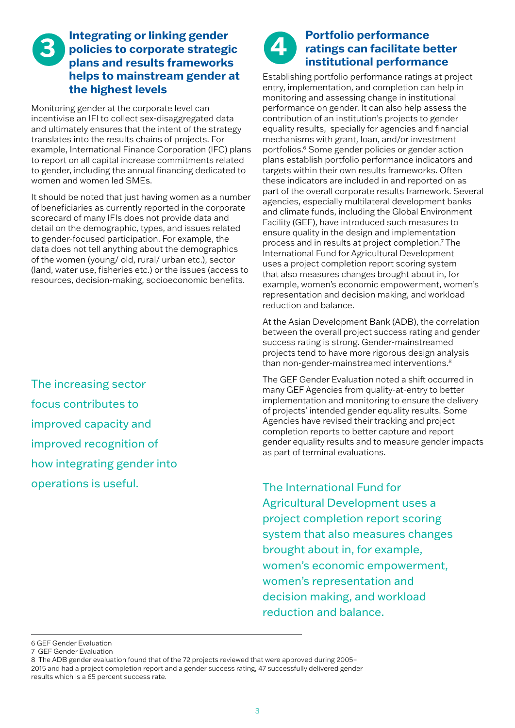### **3** Integrating or linking gender<br> **3 policies to corporate strategies policies to corporate strategic plans and results frameworks helps to mainstream gender at the highest levels**

Monitoring gender at the corporate level can incentivise an IFI to collect sex-disaggregated data and ultimately ensures that the intent of the strategy translates into the results chains of projects. For example, International Finance Corporation (IFC) plans to report on all capital increase commitments related to gender, including the annual financing dedicated to women and women led SMEs.

It should be noted that just having women as a number of beneficiaries as currently reported in the corporate scorecard of many IFIs does not provide data and detail on the demographic, types, and issues related to gender-focused participation. For example, the data does not tell anything about the demographics of the women (young/ old, rural/ urban etc.), sector (land, water use, fisheries etc.) or the issues (access to resources, decision-making, socioeconomic benefits.

The increasing sector focus contributes to improved capacity and improved recognition of how integrating gender into operations is useful.



#### **Portfolio performance ratings can facilitate better institutional performance**

Establishing portfolio performance ratings at project entry, implementation, and completion can help in monitoring and assessing change in institutional performance on gender. It can also help assess the contribution of an institution's projects to gender equality results, specially for agencies and financial mechanisms with grant, loan, and/or investment portfolios.<sup>6</sup> Some gender policies or gender action plans establish portfolio performance indicators and targets within their own results frameworks. Often these indicators are included in and reported on as part of the overall corporate results framework. Several agencies, especially multilateral development banks and climate funds, including the Global Environment Facility (GEF), have introduced such measures to ensure quality in the design and implementation process and in results at project completion.7 The International Fund for Agricultural Development uses a project completion report scoring system that also measures changes brought about in, for example, women's economic empowerment, women's representation and decision making, and workload reduction and balance.

At the Asian Development Bank (ADB), the correlation between the overall project success rating and gender success rating is strong. Gender-mainstreamed projects tend to have more rigorous design analysis than non-gender-mainstreamed interventions.<sup>8</sup>

The GEF Gender Evaluation noted a shift occurred in many GEF Agencies from quality-at-entry to better implementation and monitoring to ensure the delivery of projects' intended gender equality results. Some Agencies have revised their tracking and project completion reports to better capture and report gender equality results and to measure gender impacts as part of terminal evaluations.

The International Fund for Agricultural Development uses a project completion report scoring system that also measures changes brought about in, for example, women's economic empowerment, women's representation and decision making, and workload reduction and balance.

<sup>6</sup> GEF Gender Evaluation

<sup>7</sup> GEF Gender Evaluation

<sup>8</sup> The ADB gender evaluation found that of the 72 projects reviewed that were approved during 2005– 2015 and had a project completion report and a gender success rating, 47 successfully delivered gender results which is a 65 percent success rate.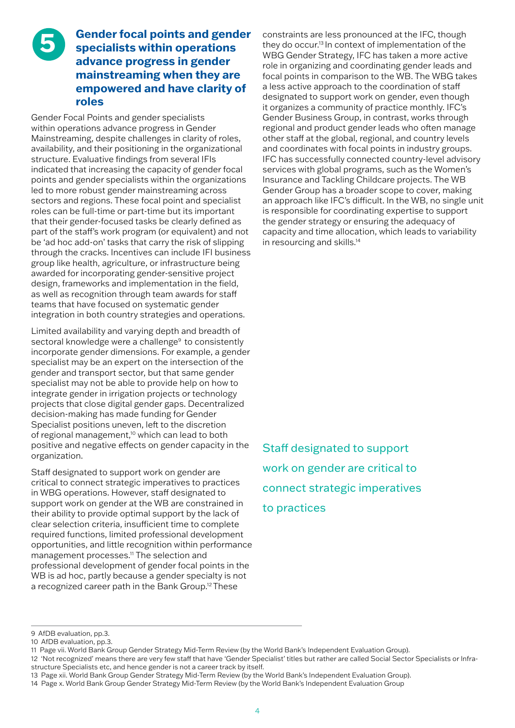#### **Gender focal points and gender specialists within operations advance progress in gender mainstreaming when they are empowered and have clarity of roles**

**5**

Gender Focal Points and gender specialists within operations advance progress in Gender Mainstreaming, despite challenges in clarity of roles, availability, and their positioning in the organizational structure. Evaluative findings from several IFIs indicated that increasing the capacity of gender focal points and gender specialists within the organizations led to more robust gender mainstreaming across sectors and regions. These focal point and specialist roles can be full-time or part-time but its important that their gender-focused tasks be clearly defined as part of the staff's work program (or equivalent) and not be 'ad hoc add-on' tasks that carry the risk of slipping through the cracks. Incentives can include IFI business group like health, agriculture, or infrastructure being awarded for incorporating gender-sensitive project design, frameworks and implementation in the field, as well as recognition through team awards for staff teams that have focused on systematic gender integration in both country strategies and operations.

Limited availability and varying depth and breadth of sectoral knowledge were a challenge<sup>9</sup> to consistently incorporate gender dimensions. For example, a gender specialist may be an expert on the intersection of the gender and transport sector, but that same gender specialist may not be able to provide help on how to integrate gender in irrigation projects or technology projects that close digital gender gaps. Decentralized decision-making has made funding for Gender Specialist positions uneven, left to the discretion of regional management,<sup>10</sup> which can lead to both positive and negative effects on gender capacity in the organization.

Staff designated to support work on gender are critical to connect strategic imperatives to practices in WBG operations. However, staff designated to support work on gender at the WB are constrained in their ability to provide optimal support by the lack of clear selection criteria, insufficient time to complete required functions, limited professional development opportunities, and little recognition within performance management processes.11 The selection and professional development of gender focal points in the WB is ad hoc, partly because a gender specialty is not a recognized career path in the Bank Group.12 These

constraints are less pronounced at the IFC, though they do occur.13 In context of implementation of the WBG Gender Strategy, IFC has taken a more active role in organizing and coordinating gender leads and focal points in comparison to the WB. The WBG takes a less active approach to the coordination of staff designated to support work on gender, even though it organizes a community of practice monthly. IFC's Gender Business Group, in contrast, works through regional and product gender leads who often manage other staff at the global, regional, and country levels and coordinates with focal points in industry groups. IFC has successfully connected country-level advisory services with global programs, such as the Women's Insurance and Tackling Childcare projects. The WB Gender Group has a broader scope to cover, making an approach like IFC's difficult. In the WB, no single unit is responsible for coordinating expertise to support the gender strategy or ensuring the adequacy of capacity and time allocation, which leads to variability in resourcing and skills.14

Staff designated to support work on gender are critical to connect strategic imperatives to practices

<sup>9</sup> AfDB evaluation, pp.3.

<sup>10</sup> AfDB evaluation, pp.3.

<sup>11</sup> Page vii. World Bank Group Gender Strategy Mid-Term Review (by the World Bank's Independent Evaluation Group).

<sup>12 &#</sup>x27;Not recognized' means there are very few staff that have 'Gender Specialist' titles but rather are called Social Sector Specialists or Infrastructure Specialists etc, and hence gender is not a career track by itself.

<sup>13</sup> Page xii. World Bank Group Gender Strategy Mid-Term Review (by the World Bank's Independent Evaluation Group).

<sup>14</sup> Page x. World Bank Group Gender Strategy Mid-Term Review (by the World Bank's Independent Evaluation Group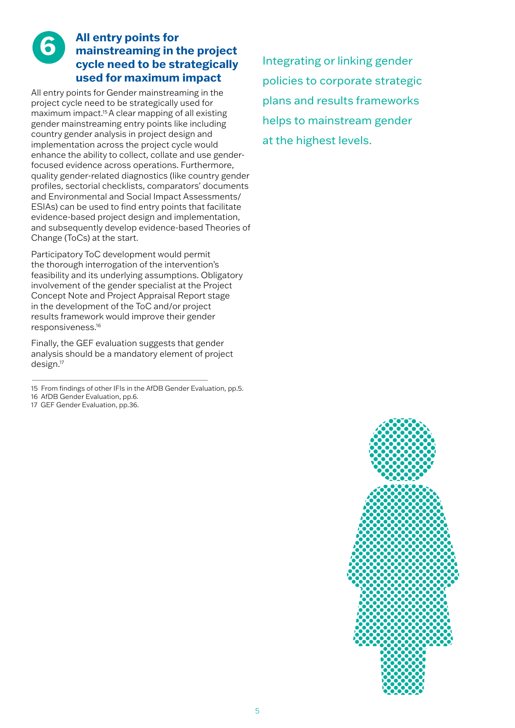### **All entry points for mainstreaming in the project cycle need to be strategically used for maximum impact**

**6**

All entry points for Gender mainstreaming in the project cycle need to be strategically used for maximum impact.15 A clear mapping of all existing gender mainstreaming entry points like including country gender analysis in project design and implementation across the project cycle would enhance the ability to collect, collate and use genderfocused evidence across operations. Furthermore, quality gender-related diagnostics (like country gender profiles, sectorial checklists, comparators' documents and Environmental and Social Impact Assessments/ ESIAs) can be used to find entry points that facilitate evidence-based project design and implementation, and subsequently develop evidence-based Theories of Change (ToCs) at the start.

Participatory ToC development would permit the thorough interrogation of the intervention's feasibility and its underlying assumptions. Obligatory involvement of the gender specialist at the Project Concept Note and Project Appraisal Report stage in the development of the ToC and/or project results framework would improve their gender responsiveness.16

Finally, the GEF evaluation suggests that gender analysis should be a mandatory element of project design.17

- 15 From findings of other IFIs in the AfDB Gender Evaluation, pp.5.
- 16 AfDB Gender Evaluation, pp.6.
- 17 GEF Gender Evaluation, pp.36.

Integrating or linking gender policies to corporate strategic plans and results frameworks helps to mainstream gender at the highest levels.